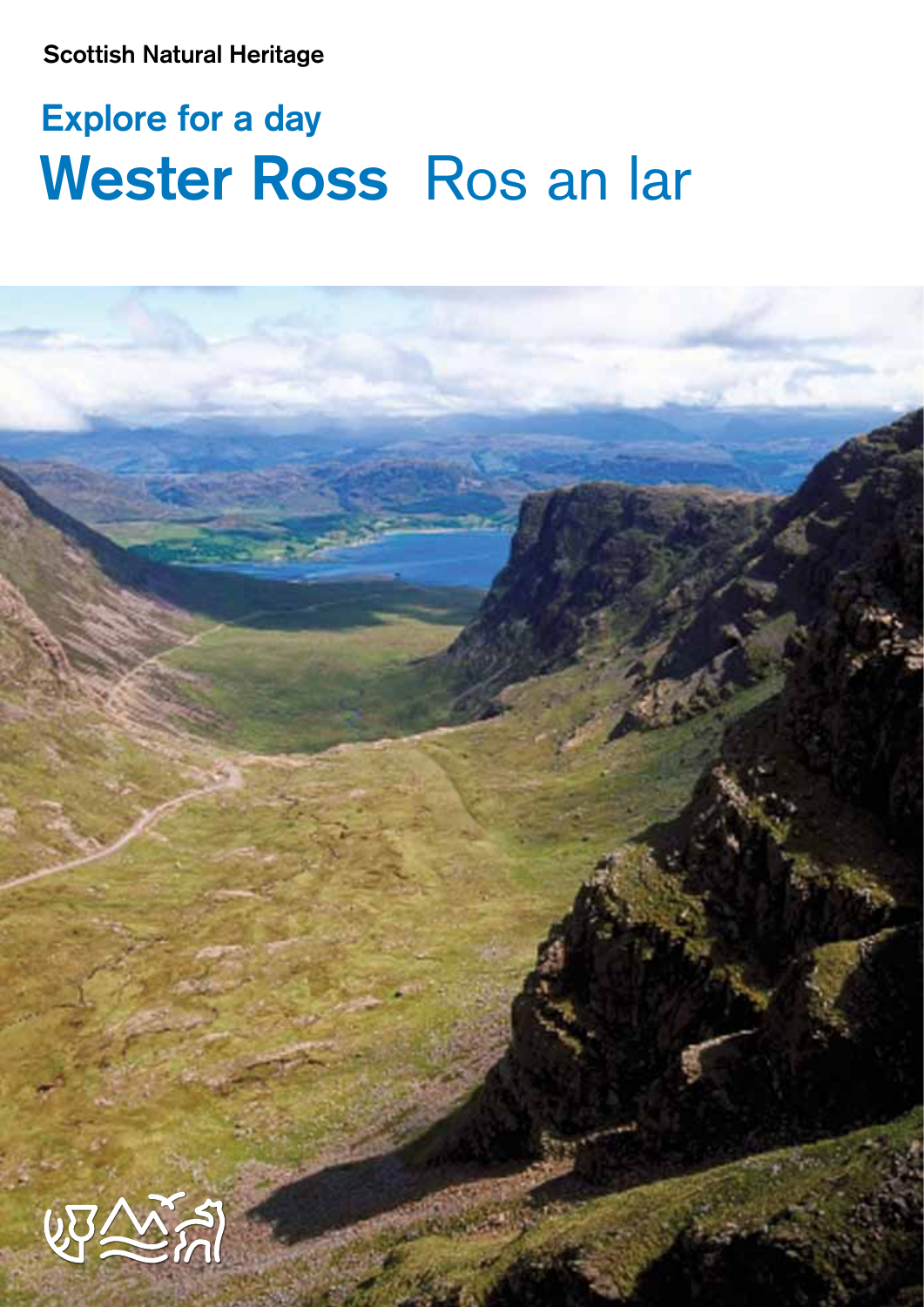**Scottish Natural Heritage**

# **Explore for a day Wester Ross** Ros an lar

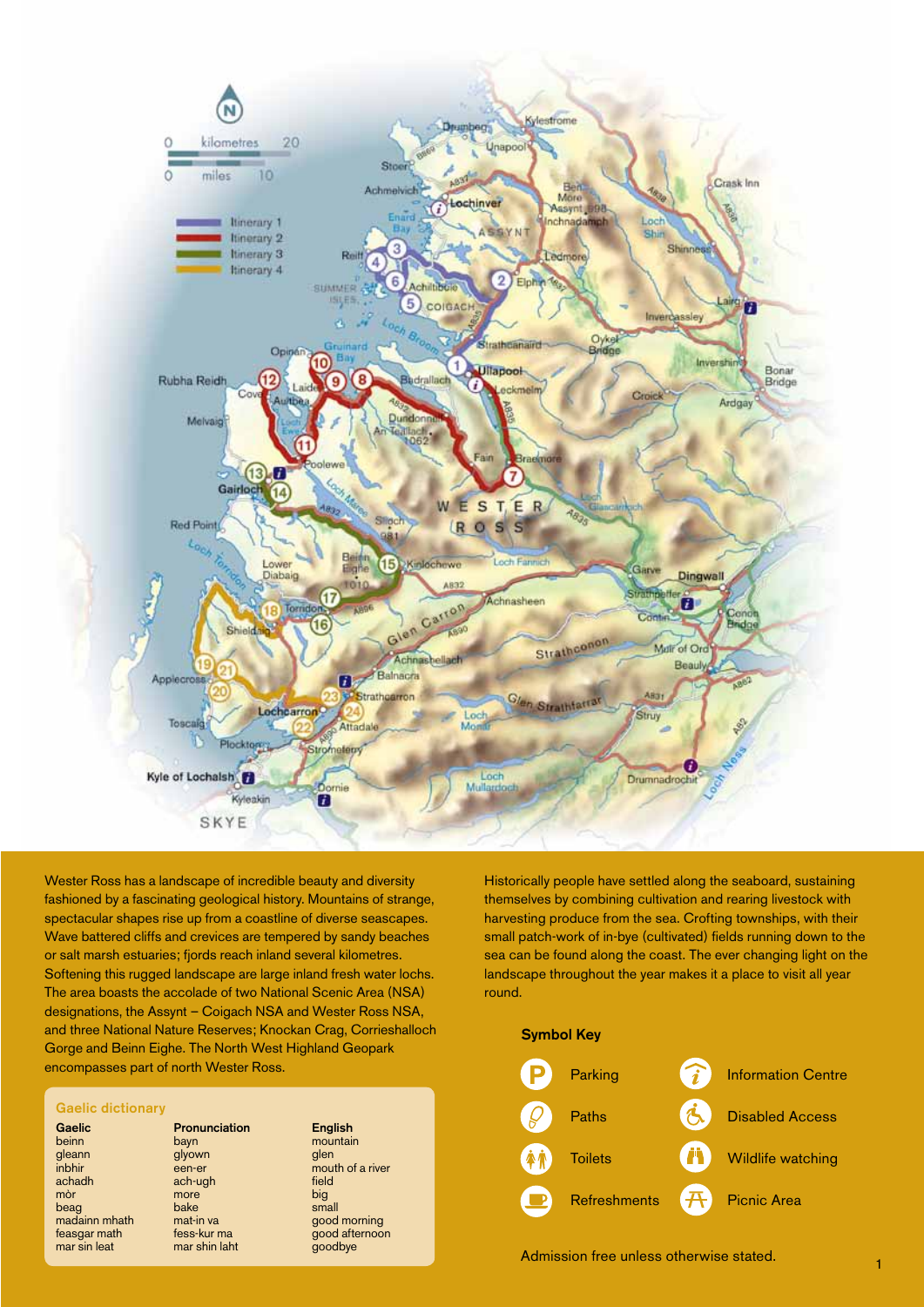

Wester Ross has a landscape of incredible beauty and diversity fashioned by a fascinating geological history. Mountains of strange, spectacular shapes rise up from a coastline of diverse seascapes. Wave battered cliffs and crevices are tempered by sandy beaches or salt marsh estuaries; fjords reach inland several kilometres. Softening this rugged landscape are large inland fresh water lochs. The area boasts the accolade of two National Scenic Area (NSA) designations, the Assynt – Coigach NSA and Wester Ross NSA, and three National Nature Reserves; Knockan Crag, Corrieshalloch Gorge and Beinn Eighe. The North West Highland Geopark encompasses part of north Wester Ross.

#### **Gaelic dictionary**

madainn mhath mat-in va<br>feasgar math fess-kur ma

### **Gaelic Pronunciation English**<br> **Comparish**<br> **Comparish**<br> **Comparish**<br> **Comparish**<br> **Comparish**<br> **Comparish**<br> **Comparish**<br> **Comparish**<br> **Comparish**<br> **Comparish** beinn bayn mountain<br>gleann glyown glen inbhir een-er mouth of glyown<br>een-er inbhir een-er mouth of a river<br>achadh ach-ugh field ach-ugh<br>more mòr **mòr** more d'ann anns an big more that the more that the more that the more that the more that the more that the more that the more that the<br>beag bake small madainn mhath mat-in va

# feasgar math fess-kur ma good afternoon<br>mar sin leat mar shin laht approximation of the feature of the state of the mar shin laht mar shin laht goodbye

Historically people have settled along the seaboard, sustaining themselves by combining cultivation and rearing livestock with harvesting produce from the sea. Crofting townships, with their small patch-work of in-bye (cultivated) fields running down to the sea can be found along the coast. The ever changing light on the landscape throughout the year makes it a place to visit all year round.

# **Symbol Key**



Admission free unless otherwise stated.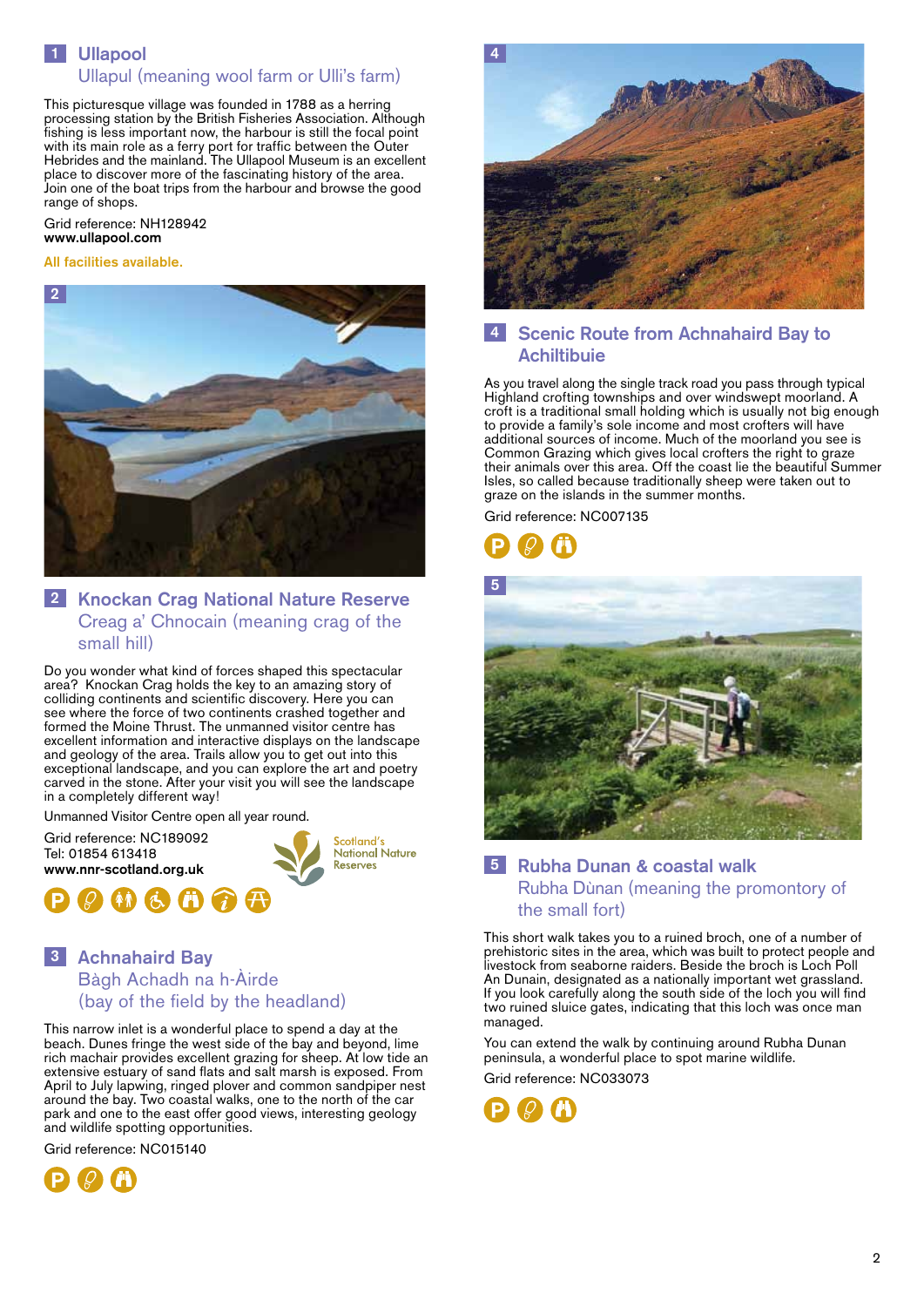# **1 Ullapool 1** Ullapul (meaning wool farm or Ulli's farm)

This picturesque village was founded in 1788 as a herring processing station by the British Fisheries Association. Although fishing is less important now, the harbour is still the focal point with its main role as a ferry port for traffic between the Outer Hebrides and the mainland. The Ullapool Museum is an excellent place to discover more of the fascinating history of the area. Join one of the boat trips from the harbour and browse the good range of shops.

#### Grid reference: NH128942 **www.ullapool.com**

#### **All facilities available.**



# **2 Knockan Crag National Nature Reserve 2** Creag a' Chnocain (meaning crag of the small hill)

Do you wonder what kind of forces shaped this spectacular area? Knockan Crag holds the key to an amazing story of colliding continents and scientific discovery. Here you can see where the force of two continents crashed together and formed the Moine Thrust. The unmanned visitor centre has excellent information and interactive displays on the landscape and geology of the area. Trails allow you to get out into this exceptional landscape, and you can explore the art and poetry carved in the stone. After your visit you will see the landscape in a completely different way!

Unmanned Visitor Centre open all year round.





# **3 Achnahaird Bay 3** Bàgh Achadh na h-Àirde (bay of the field by the headland)

This narrow inlet is a wonderful place to spend a day at the beach. Dunes fringe the west side of the bay and beyond, lime rich machair provides excellent grazing for sheep. At low tide an extensive estuary of sand flats and salt marsh is exposed. From April to July lapwing, ringed plover and common sandpiper nest around the bay. Two coastal walks, one to the north of the car park and one to the east offer good views, interesting geology and wildlife spotting opportunities.

Grid reference: NC015140





# **4 Scenic Route from Achnahaird Bay to 4 Achiltibuie**

As you travel along the single track road you pass through typical Highland crofting townships and over windswept moorland. A croft is a traditional small holding which is usually not big enough to provide a family's sole income and most crofters will have additional sources of income. Much of the moorland you see is Common Grazing which gives local crofters the right to graze their animals over this area. Off the coast lie the beautiful Summer Isles, so called because traditionally sheep were taken out to graze on the islands in the summer months.

Grid reference: NC007135





# **5 Rubha Dunan & coastal walk 5** Rubha Dùnan (meaning the promontory of the small fort)

This short walk takes you to a ruined broch, one of a number of prehistoric sites in the area, which was built to protect people and livestock from seaborne raiders. Beside the broch is Loch Poll An Dunain, designated as a nationally important wet grassland. If you look carefully along the south side of the loch you will find two ruined sluice gates, indicating that this loch was once man managed.

You can extend the walk by continuing around Rubha Dunan peninsula, a wonderful place to spot marine wildlife.

Grid reference: NC033073

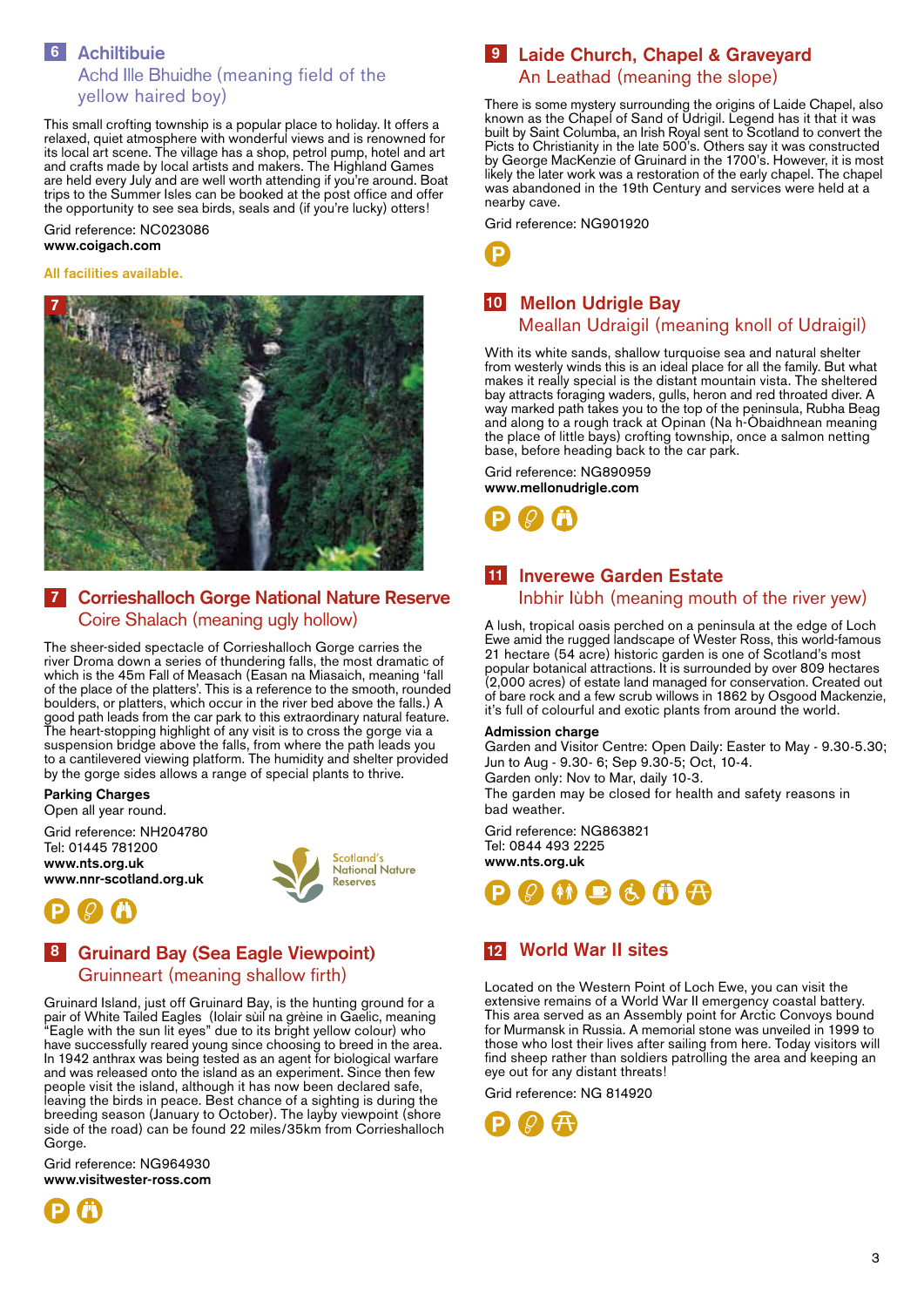

# **6 Achiltibuie 6**

# Achd Ille Bhuidhe (meaning field of the yellow haired boy)

This small crofting township is a popular place to holiday. It offers a relaxed, quiet atmosphere with wonderful views and is renowned for its local art scene. The village has a shop, petrol pump, hotel and art and crafts made by local artists and makers. The Highland Games are held every July and are well worth attending if you're around. Boat trips to the Summer Isles can be booked at the post office and offer the opportunity to see sea birds, seals and (if you're lucky) otters!

Grid reference: NC023086 **www.coigach.com**

#### **All facilities available.**



# **7 Corrieshalloch Gorge National Nature Reserve 7** Coire Shalach (meaning ugly hollow)

The sheer-sided spectacle of Corrieshalloch Gorge carries the river Droma down a series of thundering falls, the most dramatic of which is the 45m Fall of Measach (Easan na Miasaich, meaning 'fall of the place of the platters'. This is a reference to the smooth, rounded boulders, or platters, which occur in the river bed above the falls.) A good path leads from the car park to this extraordinary natural feature. The heart-stopping highlight of any visit is to cross the gorge via a suspension bridge above the falls, from where the path leads you to a cantilevered viewing platform. The humidity and shelter provided by the gorge sides allows a range of special plants to thrive.

**Parking Charges** Open all year round.

Grid reference: NH204780 Tel: 01445 781200 **www.nts.org.uk www.nnr-scotland.org.uk**



# **8 Gruinard Bay (Sea Eagle Viewpoint) 8** Gruinneart (meaning shallow firth)

Gruinard Island, just off Gruinard Bay, is the hunting ground for a pair of White Tailed Eagles (Iolair sùil na grèine in Gaelic, meaning "Eagle with the sun lit eyes" due to its bright yellow colour) who have successfully reared young since choosing to breed in the area. In 1942 anthrax was being tested as an agent for biological warfare and was released onto the island as an experiment. Since then few people visit the island, although it has now been declared safe, leaving the birds in peace. Best chance of a sighting is during the breeding season (January to October). The layby viewpoint (shore side of the road) can be found 22 miles/35km from Corrieshalloch Gorge.

Grid reference: NG964930 **www.visitwester-ross.com**



# **9 Laide Church, Chapel & Graveyard 9** An Leathad (meaning the slope)

There is some mystery surrounding the origins of Laide Chapel, also known as the Chapel of Sand of Udrigil. Legend has it that it was built by Saint Columba, an Irish Royal sent to Scotland to convert the Picts to Christianity in the late 500's. Others say it was constructed by George MacKenzie of Gruinard in the 1700's. However, it is most likely the later work was a restoration of the early chapel. The chapel was abandoned in the 19th Century and services were held at a nearby cave.

Grid reference: NG901920



# **10 Mellon Udrigle Bay 10**

# Meallan Udraigil (meaning knoll of Udraigil)

With its white sands, shallow turquoise sea and natural shelter from westerly winds this is an ideal place for all the family. But what makes it really special is the distant mountain vista. The sheltered bay attracts foraging waders, gulls, heron and red throated diver. A way marked path takes you to the top of the peninsula, Rubha Beag and along to a rough track at Opinan (Na h-Òbaidhnean meaning the place of little bays) crofting township, once a salmon netting base, before heading back to the car park.

Grid reference: NG890959 **www.mellonudrigle.com**



# **11 Inverewe Garden Estate 11** Inbhir Iùbh (meaning mouth of the river yew)

A lush, tropical oasis perched on a peninsula at the edge of Loch Ewe amid the rugged landscape of Wester Ross, this world-famous 21 hectare (54 acre) historic garden is one of Scotland's most popular botanical attractions. It is surrounded by over 809 hectares (2,000 acres) of estate land managed for conservation. Created out of bare rock and a few scrub willows in 1862 by Osgood Mackenzie, it's full of colourful and exotic plants from around the world.

#### **Admission charge**

bad weather.

Garden and Visitor Centre: Open Daily: Easter to May - 9.30-5.30; Jun to Aug - 9.30- 6; Sep 9.30-5; Oct, 10-4. Garden only: Nov to Mar, daily 10-3. The garden may be closed for health and safety reasons in

Grid reference: NG863821 Tel: 0844 493 2225 **www.nts.org.uk**



# **12 World War II sites 12**

Located on the Western Point of Loch Ewe, you can visit the extensive remains of a World War II emergency coastal battery. This area served as an Assembly point for Arctic Convoys bound for Murmansk in Russia. A memorial stone was unveiled in 1999 to those who lost their lives after sailing from here. Today visitors will find sheep rather than soldiers patrolling the area and keeping an eye out for any distant threats!

Grid reference: NG 814920

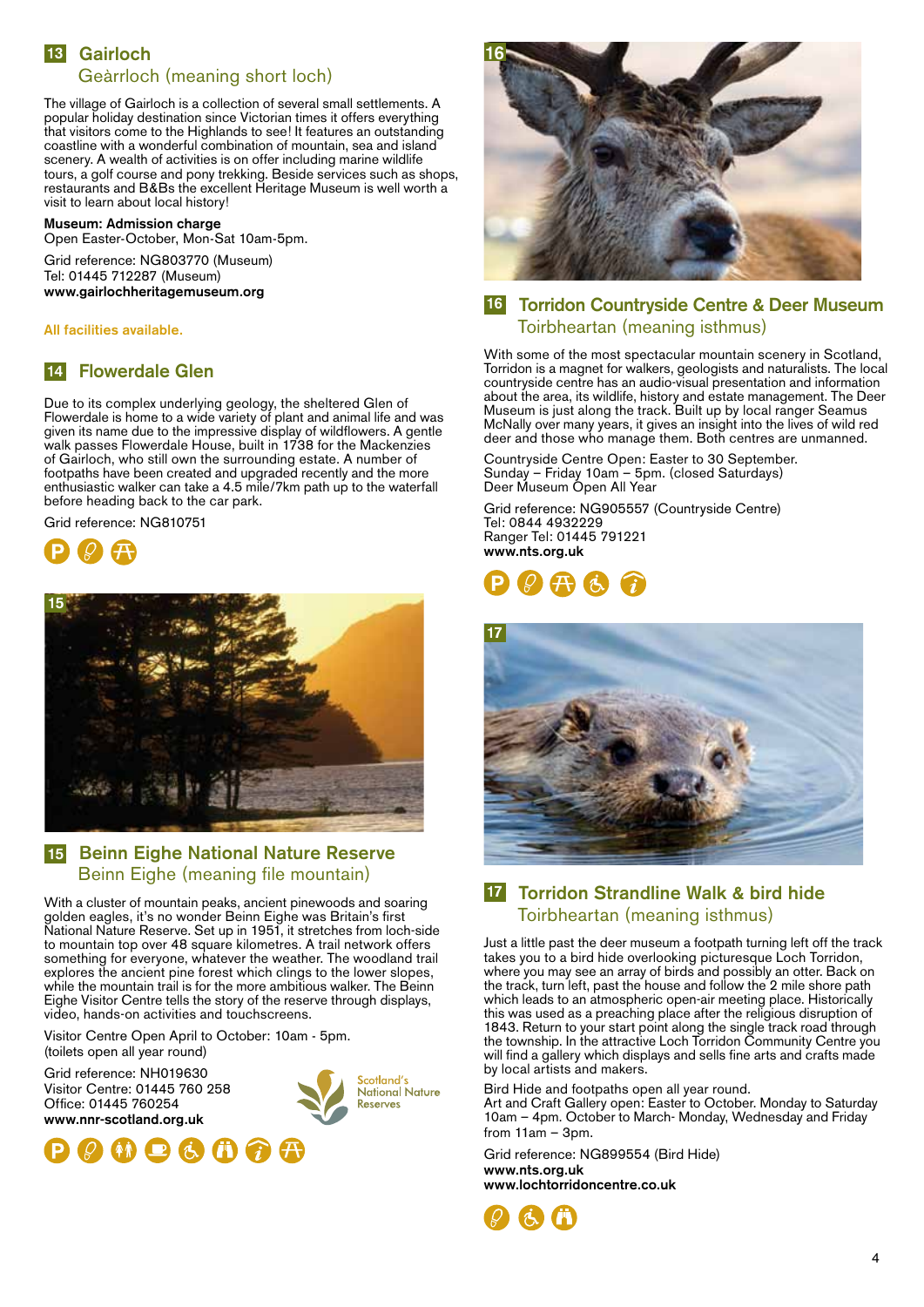# **13 Gairloch 13** Geàrrloch (meaning short loch)

The village of Gairloch is a collection of several small settlements. A popular holiday destination since Victorian times it offers everything that visitors come to the Highlands to see! It features an outstanding coastline with a wonderful combination of mountain, sea and island scenery. A wealth of activities is on offer including marine wildlife tours, a golf course and pony trekking. Beside services such as shops, restaurants and B&Bs the excellent Heritage Museum is well worth a visit to learn about local history!

#### **Museum: Admission charge**

Open Easter-October, Mon-Sat 10am-5pm.

Grid reference: NG803770 (Museum) Tel: 01445 712287 (Museum) **www.gairlochheritagemuseum.org**

**All facilities available.**

# **14 Flowerdale Glen 14**

Due to its complex underlying geology, the sheltered Glen of Flowerdale is home to a wide variety of plant and animal life and was given its name due to the impressive display of wildflowers. A gentle walk passes Flowerdale House, built in 1738 for the Mackenzies of Gairloch, who still own the surrounding estate. A number of footpaths have been created and upgraded recently and the more enthusiastic walker can take a 4.5 mile/7km path up to the waterfall before heading back to the car park.

Grid reference: NG810751





# **15 Beinn Eighe National Nature Reserve 15** Beinn Eighe (meaning file mountain)

With a cluster of mountain peaks, ancient pinewoods and soaring golden eagles, it's no wonder Beinn Eighe was Britain's first National Nature Reserve. Set up in 1951, it stretches from loch-side to mountain top over 48 square kilometres. A trail network offers something for everyone, whatever the weather. The woodland trail explores the ancient pine forest which clings to the lower slopes, while the mountain trail is for the more ambitious walker. The Beinn Eighe Visitor Centre tells the story of the reserve through displays, video, hands-on activities and touchscreens.

Visitor Centre Open April to October: 10am - 5pm.

(toilets open all year round) Grid reference: NH019630 Visitor Centre: 01445 760 258 Office: 01445 760254 **www.nnr-scotland.org.uk**







# **16 Torridon Countryside Centre & Deer Museum 16** Toirbheartan (meaning isthmus)

With some of the most spectacular mountain scenery in Scotland, Torridon is a magnet for walkers, geologists and naturalists. The local countryside centre has an audio-visual presentation and information about the area, its wildlife, history and estate management. The Deer Museum is just along the track. Built up by local ranger Seamus McNally over many years, it gives an insight into the lives of wild red deer and those who manage them. Both centres are unmanned.

Countryside Centre Open: Easter to 30 September. Sunday – Friday 10am – 5pm. (closed Saturdays) Deer Museum Open All Year

Grid reference: NG905557 (Countryside Centre) Tel: 0844 4932229 Ranger Tel: 01445 791221 **www.nts.org.uk**





# **17 Torridon Strandline Walk & bird hide 17** Toirbheartan (meaning isthmus)

Just a little past the deer museum a footpath turning left off the track takes you to a bird hide overlooking picturesque Loch Torridon, where you may see an array of birds and possibly an otter. Back on the track, turn left, past the house and follow the 2 mile shore path which leads to an atmospheric open-air meeting place. Historically this was used as a preaching place after the religious disruption of 1843. Return to your start point along the single track road through the township. In the attractive Loch Torridon Community Centre you will find a gallery which displays and sells fine arts and crafts made by local artists and makers.

Bird Hide and footpaths open all year round. Art and Craft Gallery open: Easter to October. Monday to Saturday 10am – 4pm. October to March- Monday, Wednesday and Friday from 11am – 3pm.

Grid reference: NG899554 (Bird Hide) **www.nts.org.uk www.lochtorridoncentre.co.uk**

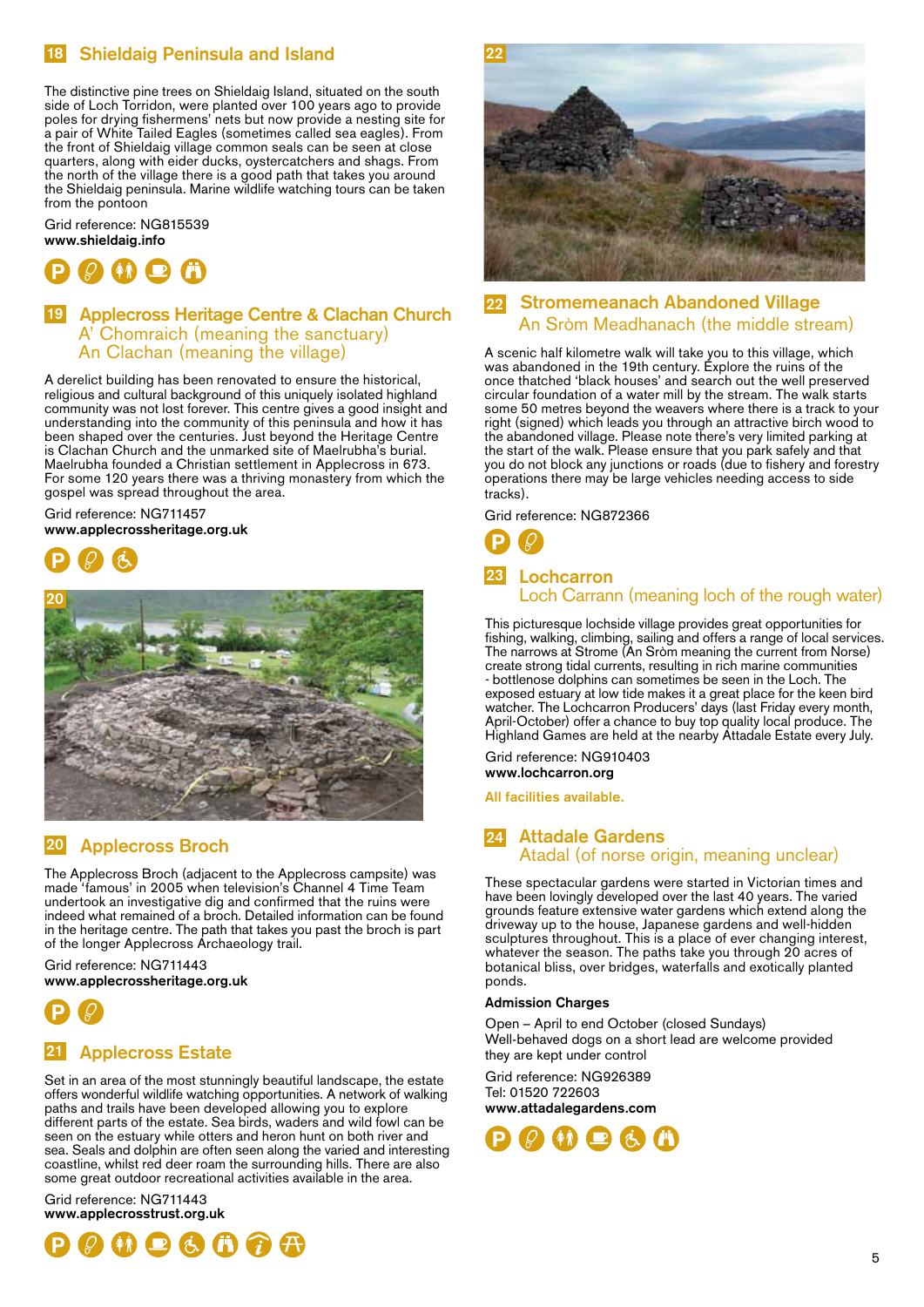# **18 Shieldaig Peninsula and Island 18**

The distinctive pine trees on Shieldaig Island, situated on the south side of Loch Torridon, were planted over 100 years ago to provide poles for drying fishermens' nets but now provide a nesting site for a pair of White Tailed Eagles (sometimes called sea eagles). From the front of Shieldaig village common seals can be seen at close quarters, along with eider ducks, oystercatchers and shags. From the north of the village there is a good path that takes you around the Shieldaig peninsula. Marine wildlife watching tours can be taken from the pontoon

Grid reference: NG815539 **www.shieldaig.info**



## **19 Applecross Heritage Centre & Clachan Church 19** A' Chomraich (meaning the sanctuary) An Clachan (meaning the village)

A derelict building has been renovated to ensure the historical, religious and cultural background of this uniquely isolated highland community was not lost forever. This centre gives a good insight and understanding into the community of this peninsula and how it has been shaped over the centuries. Just beyond the Heritage Centre is Clachan Church and the unmarked site of Maelrubha's burial. Maelrubha founded a Christian settlement in Applecross in 673. For some 120 years there was a thriving monastery from which the gospel was spread throughout the area.

Grid reference: NG711457 **www.applecrossheritage.org.uk**





#### **20 Applecross Broch 20**

The Applecross Broch (adjacent to the Applecross campsite) was made 'famous' in 2005 when television's Channel 4 Time Team undertook an investigative dig and confirmed that the ruins were indeed what remained of a broch. Detailed information can be found in the heritage centre. The path that takes you past the broch is part of the longer Applecross Archaeology trail.

Grid reference: NG711443 **www.applecrossheritage.org.uk**



# **21 Applecross Estate 21**

Set in an area of the most stunningly beautiful landscape, the estate offers wonderful wildlife watching opportunities. A network of walking paths and trails have been developed allowing you to explore different parts of the estate. Sea birds, waders and wild fowl can be seen on the estuary while otters and heron hunt on both river and sea. Seals and dolphin are often seen along the varied and interesting coastline, whilst red deer roam the surrounding hills. There are also some great outdoor recreational activities available in the area.

Grid reference: NG711443 **www.applecrosstrust.org.uk**





#### **22 Stromemeanach Abandoned Village** An Sròm Meadhanach (the middle stream) **22**

A scenic half kilometre walk will take you to this village, which was abandoned in the 19th century. Explore the ruins of the once thatched 'black houses' and search out the well preserved circular foundation of a water mill by the stream. The walk starts some 50 metres beyond the weavers where there is a track to your right (signed) which leads you through an attractive birch wood to the abandoned village. Please note there's very limited parking at the start of the walk. Please ensure that you park safely and that you do not block any junctions or roads (due to fishery and forestry operations there may be large vehicles needing access to side tracks).

Grid reference: NG872366



# **23 Lochcarron 23** Loch Carrann (meaning loch of the rough water)

This picturesque lochside village provides great opportunities for fishing, walking, climbing, sailing and offers a range of local services. The narrows at Strome (An Sròm meaning the current from Norse) create strong tidal currents, resulting in rich marine communities - bottlenose dolphins can sometimes be seen in the Loch. The exposed estuary at low tide makes it a great place for the keen bird watcher. The Lochcarron Producers' days (last Friday every month, April-October) offer a chance to buy top quality local produce. The Highland Games are held at the nearby Attadale Estate every July.

Grid reference: NG910403 **www.lochcarron.org**

**All facilities available.**

# **24 Attadale Gardens 24** Atadal (of norse origin, meaning unclear)

These spectacular gardens were started in Victorian times and have been lovingly developed over the last 40 years. The varied grounds feature extensive water gardens which extend along the driveway up to the house, Japanese gardens and well-hidden sculptures throughout. This is a place of ever changing interest, whatever the season. The paths take you through 20 acres of botanical bliss, over bridges, waterfalls and exotically planted ponds.

#### **Admission Charges**

Open – April to end October (closed Sundays) Well-behaved dogs on a short lead are welcome provided they are kept under control

Grid reference: NG926389 Tel: 01520 722603 **www.attadalegardens.com**

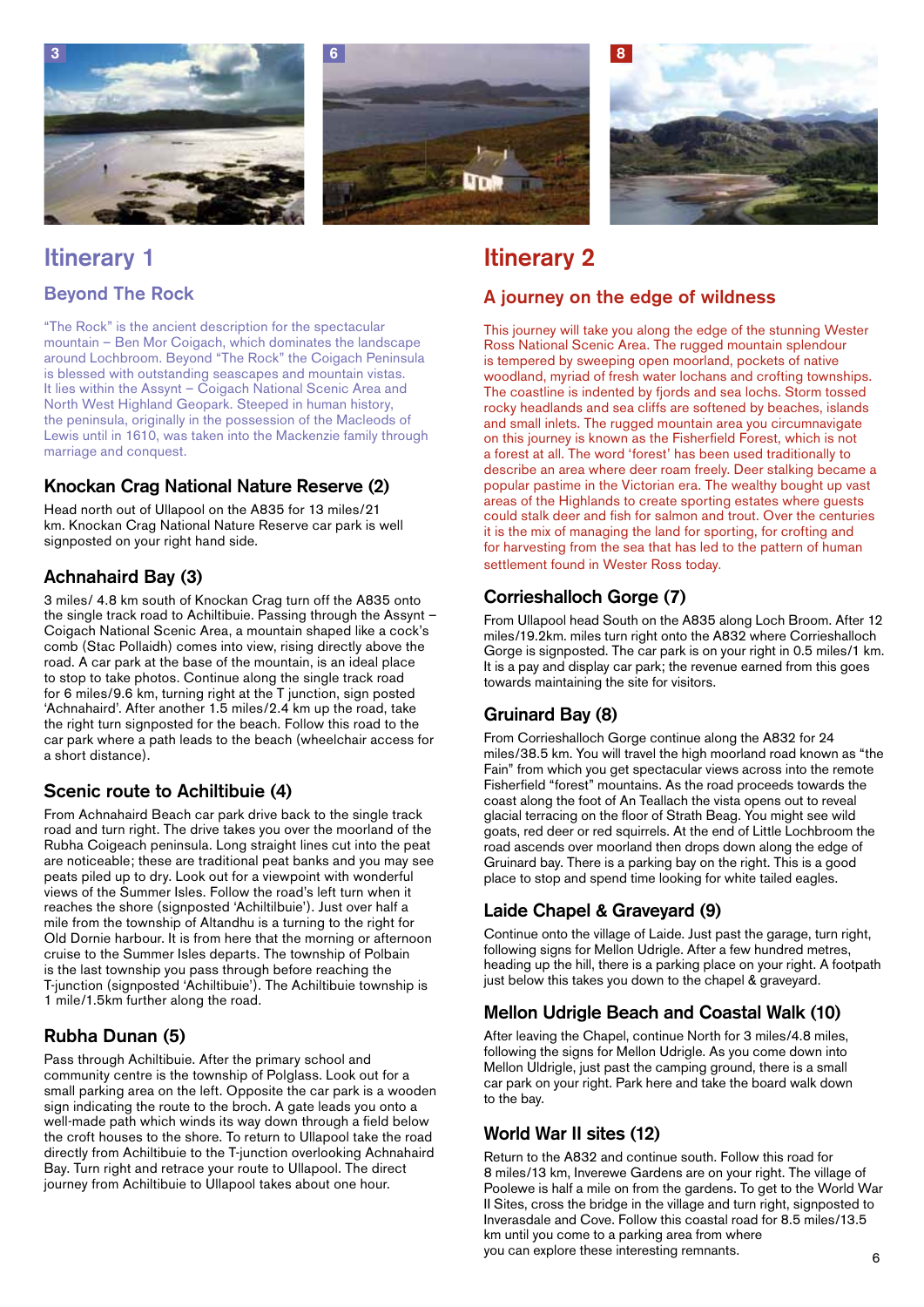





# **Itinerary 1**

**Beyond The Rock**

"The Rock" is the ancient description for the spectacular mountain – Ben Mor Coigach, which dominates the landscape around Lochbroom. Beyond "The Rock" the Coigach Peninsula is blessed with outstanding seascapes and mountain vistas. It lies within the Assynt – Coigach National Scenic Area and North West Highland Geopark. Steeped in human history, the peninsula, originally in the possession of the Macleods of Lewis until in 1610, was taken into the Mackenzie family through marriage and conquest.

# **Knockan Crag National Nature Reserve (2)**

Head north out of Ullapool on the A835 for 13 miles/21 km. Knockan Crag National Nature Reserve car park is well signposted on your right hand side.

# **Achnahaird Bay (3)**

3 miles/ 4.8 km south of Knockan Crag turn off the A835 onto the single track road to Achiltibuie. Passing through the Assynt – Coigach National Scenic Area, a mountain shaped like a cock's comb (Stac Pollaidh) comes into view, rising directly above the road. A car park at the base of the mountain, is an ideal place to stop to take photos. Continue along the single track road for 6 miles/9.6 km, turning right at the T junction, sign posted 'Achnahaird'. After another 1.5 miles/2.4 km up the road, take the right turn signposted for the beach. Follow this road to the car park where a path leads to the beach (wheelchair access for a short distance).

# **Scenic route to Achiltibuie (4)**

From Achnahaird Beach car park drive back to the single track road and turn right. The drive takes you over the moorland of the Rubha Coigeach peninsula. Long straight lines cut into the peat are noticeable; these are traditional peat banks and you may see peats piled up to dry. Look out for a viewpoint with wonderful views of the Summer Isles. Follow the road's left turn when it reaches the shore (signposted 'Achiltilbuie'). Just over half a mile from the township of Altandhu is a turning to the right for Old Dornie harbour. It is from here that the morning or afternoon cruise to the Summer Isles departs. The township of Polbain is the last township you pass through before reaching the T-junction (signposted 'Achiltibuie'). The Achiltibuie township is 1 mile/1.5km further along the road.

# **Rubha Dunan (5)**

Pass through Achiltibuie. After the primary school and community centre is the township of Polglass. Look out for a small parking area on the left. Opposite the car park is a wooden sign indicating the route to the broch. A gate leads you onto a well-made path which winds its way down through a field below the croft houses to the shore. To return to Ullapool take the road directly from Achiltibuie to the T-junction overlooking Achnahaird Bay. Turn right and retrace your route to Ullapool. The direct journey from Achiltibuie to Ullapool takes about one hour.

# **Itinerary 2**

# **A journey on the edge of wildness**

This journey will take you along the edge of the stunning Wester Ross National Scenic Area. The rugged mountain splendour is tempered by sweeping open moorland, pockets of native woodland, myriad of fresh water lochans and crofting townships. The coastline is indented by fjords and sea lochs. Storm tossed rocky headlands and sea cliffs are softened by beaches, islands and small inlets. The rugged mountain area you circumnavigate on this journey is known as the Fisherfield Forest, which is not a forest at all. The word 'forest' has been used traditionally to describe an area where deer roam freely. Deer stalking became a popular pastime in the Victorian era. The wealthy bought up vast areas of the Highlands to create sporting estates where guests could stalk deer and fish for salmon and trout. Over the centuries it is the mix of managing the land for sporting, for crofting and for harvesting from the sea that has led to the pattern of human settlement found in Wester Ross today.

# **Corrieshalloch Gorge (7)**

From Ullapool head South on the A835 along Loch Broom. After 12 miles/19.2km. miles turn right onto the A832 where Corrieshalloch Gorge is signposted. The car park is on your right in 0.5 miles/1 km. It is a pay and display car park; the revenue earned from this goes towards maintaining the site for visitors.

# **Gruinard Bay (8)**

From Corrieshalloch Gorge continue along the A832 for 24 miles/38.5 km. You will travel the high moorland road known as "the Fain" from which you get spectacular views across into the remote Fisherfield "forest" mountains. As the road proceeds towards the coast along the foot of An Teallach the vista opens out to reveal glacial terracing on the floor of Strath Beag. You might see wild goats, red deer or red squirrels. At the end of Little Lochbroom the road ascends over moorland then drops down along the edge of Gruinard bay. There is a parking bay on the right. This is a good place to stop and spend time looking for white tailed eagles.

# **Laide Chapel & Graveyard (9)**

Continue onto the village of Laide. Just past the garage, turn right, following signs for Mellon Udrigle. After a few hundred metres, heading up the hill, there is a parking place on your right. A footpath just below this takes you down to the chapel & graveyard.

# **Mellon Udrigle Beach and Coastal Walk (10)**

After leaving the Chapel, continue North for 3 miles/4.8 miles, following the signs for Mellon Udrigle. As you come down into Mellon Uldrigle, just past the camping ground, there is a small car park on your right. Park here and take the board walk down to the bay.

# **World War II sites (12)**

Return to the A832 and continue south. Follow this road for 8 miles/13 km, Inverewe Gardens are on your right. The village of Poolewe is half a mile on from the gardens. To get to the World War II Sites, cross the bridge in the village and turn right, signposted to Inverasdale and Cove. Follow this coastal road for 8.5 miles/13.5 km until you come to a parking area from where you can explore these interesting remnants.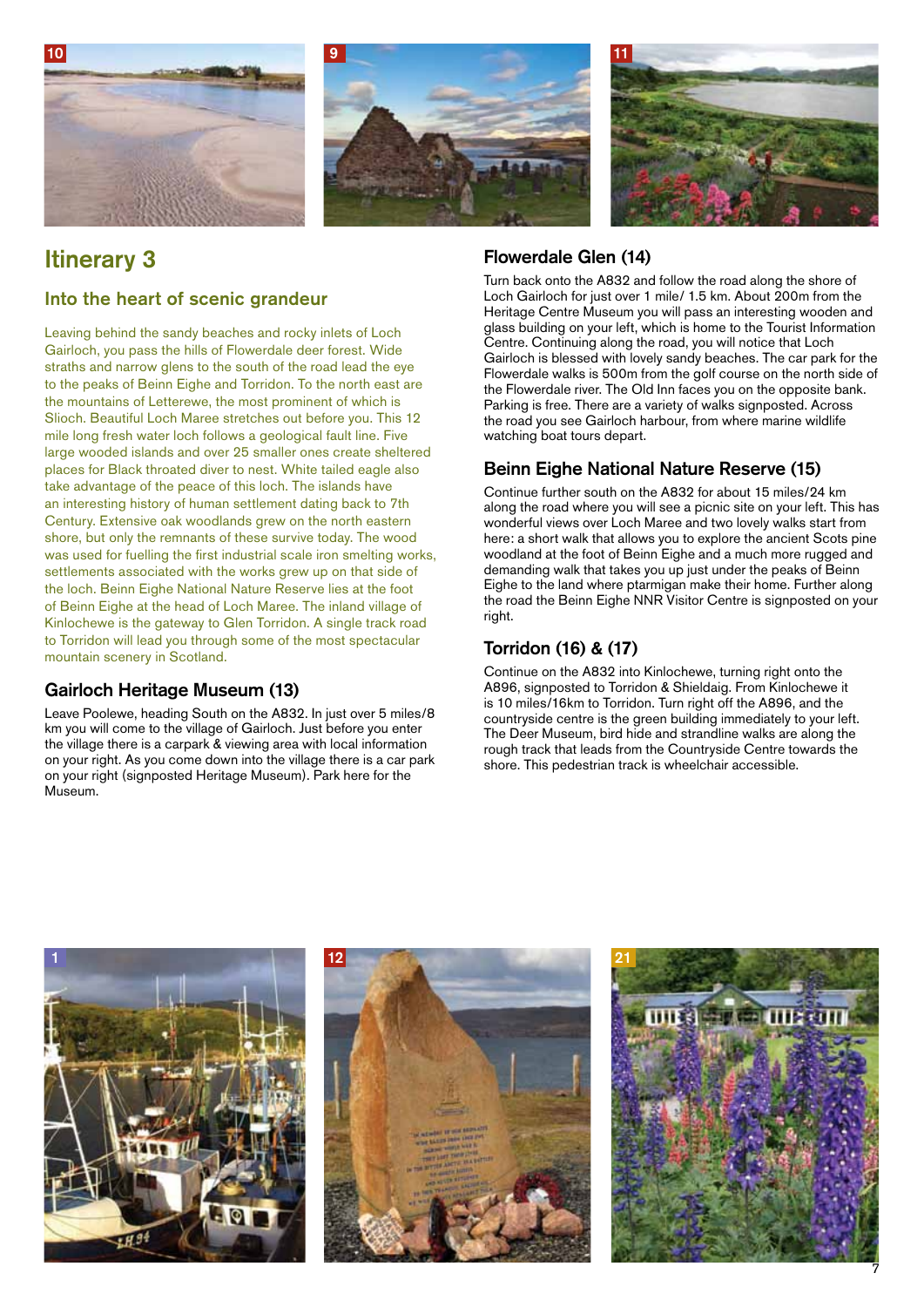





# **Itinerary 3**

# **Into the heart of scenic grandeur**

Leaving behind the sandy beaches and rocky inlets of Loch Gairloch, you pass the hills of Flowerdale deer forest. Wide straths and narrow glens to the south of the road lead the eye to the peaks of Beinn Eighe and Torridon. To the north east are the mountains of Letterewe, the most prominent of which is Slioch. Beautiful Loch Maree stretches out before you. This 12 mile long fresh water loch follows a geological fault line. Five large wooded islands and over 25 smaller ones create sheltered places for Black throated diver to nest. White tailed eagle also take advantage of the peace of this loch. The islands have an interesting history of human settlement dating back to 7th Century. Extensive oak woodlands grew on the north eastern shore, but only the remnants of these survive today. The wood was used for fuelling the first industrial scale iron smelting works, settlements associated with the works grew up on that side of the loch. Beinn Eighe National Nature Reserve lies at the foot of Beinn Eighe at the head of Loch Maree. The inland village of Kinlochewe is the gateway to Glen Torridon. A single track road to Torridon will lead you through some of the most spectacular mountain scenery in Scotland.

# **Gairloch Heritage Museum (13)**

Leave Poolewe, heading South on the A832. In just over 5 miles/8 km you will come to the village of Gairloch. Just before you enter the village there is a carpark & viewing area with local information on your right. As you come down into the village there is a car park on your right (signposted Heritage Museum). Park here for the Museum.

# **Flowerdale Glen (14)**

Turn back onto the A832 and follow the road along the shore of Loch Gairloch for just over 1 mile/ 1.5 km. About 200m from the Heritage Centre Museum you will pass an interesting wooden and glass building on your left, which is home to the Tourist Information Centre. Continuing along the road, you will notice that Loch Gairloch is blessed with lovely sandy beaches. The car park for the Flowerdale walks is 500m from the golf course on the north side of the Flowerdale river. The Old Inn faces you on the opposite bank. Parking is free. There are a variety of walks signposted. Across the road you see Gairloch harbour, from where marine wildlife watching boat tours depart.

# **Beinn Eighe National Nature Reserve (15)**

Continue further south on the A832 for about 15 miles/24 km along the road where you will see a picnic site on your left. This has wonderful views over Loch Maree and two lovely walks start from here: a short walk that allows you to explore the ancient Scots pine woodland at the foot of Beinn Eighe and a much more rugged and demanding walk that takes you up just under the peaks of Beinn Eighe to the land where ptarmigan make their home. Further along the road the Beinn Eighe NNR Visitor Centre is signposted on your right.

# **Torridon (16) & (17)**

Continue on the A832 into Kinlochewe, turning right onto the A896, signposted to Torridon & Shieldaig. From Kinlochewe it is 10 miles/16km to Torridon. Turn right off the A896, and the countryside centre is the green building immediately to your left. The Deer Museum, bird hide and strandline walks are along the rough track that leads from the Countryside Centre towards the shore. This pedestrian track is wheelchair accessible.

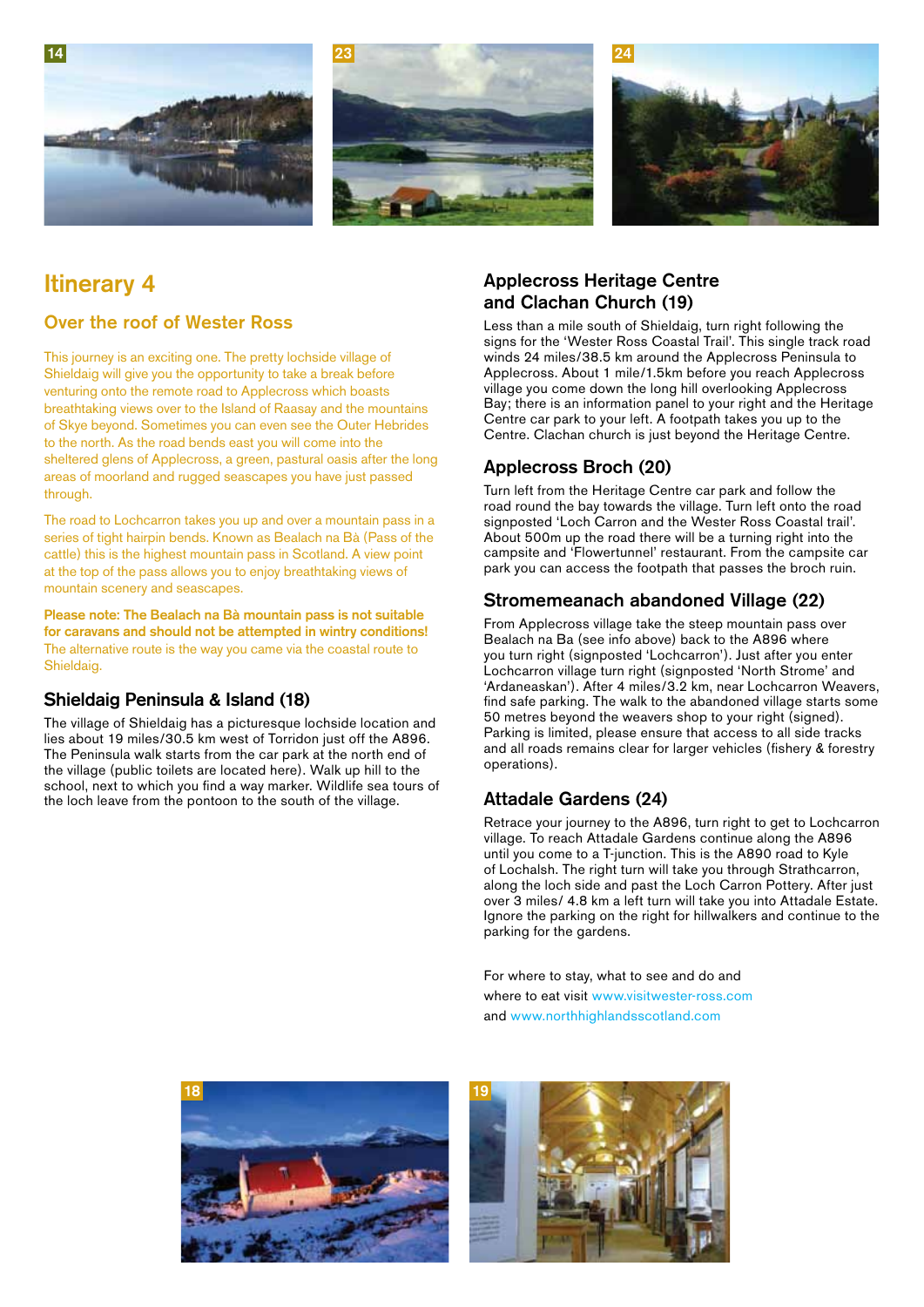





# **Itinerary 4**

# **Over the roof of Wester Ross**

This journey is an exciting one. The pretty lochside village of Shieldaig will give you the opportunity to take a break before venturing onto the remote road to Applecross which boasts breathtaking views over to the Island of Raasay and the mountains of Skye beyond. Sometimes you can even see the Outer Hebrides to the north. As the road bends east you will come into the sheltered glens of Applecross, a green, pastural oasis after the long areas of moorland and rugged seascapes you have just passed through.

The road to Lochcarron takes you up and over a mountain pass in a series of tight hairpin bends. Known as Bealach na Bà (Pass of the cattle) this is the highest mountain pass in Scotland. A view point at the top of the pass allows you to enjoy breathtaking views of mountain scenery and seascapes.

**Please note: The Bealach na Bà mountain pass is not suitable for caravans and should not be attempted in wintry conditions!** The alternative route is the way you came via the coastal route to Shieldaig.

### **Shieldaig Peninsula & Island (18)**

The village of Shieldaig has a picturesque lochside location and lies about 19 miles/30.5 km west of Torridon just off the A896. The Peninsula walk starts from the car park at the north end of the village (public toilets are located here). Walk up hill to the school, next to which you find a way marker. Wildlife sea tours of the loch leave from the pontoon to the south of the village.

# **Applecross Heritage Centre and Clachan Church (19)**

Less than a mile south of Shieldaig, turn right following the signs for the 'Wester Ross Coastal Trail'. This single track road winds 24 miles/38.5 km around the Applecross Peninsula to Applecross. About 1 mile/1.5km before you reach Applecross village you come down the long hill overlooking Applecross Bay; there is an information panel to your right and the Heritage Centre car park to your left. A footpath takes you up to the Centre. Clachan church is just beyond the Heritage Centre.

# **Applecross Broch (20)**

Turn left from the Heritage Centre car park and follow the road round the bay towards the village. Turn left onto the road signposted 'Loch Carron and the Wester Ross Coastal trail'. About 500m up the road there will be a turning right into the campsite and 'Flowertunnel' restaurant. From the campsite car park you can access the footpath that passes the broch ruin.

# **Stromemeanach abandoned Village (22)**

From Applecross village take the steep mountain pass over Bealach na Ba (see info above) back to the A896 where you turn right (signposted 'Lochcarron'). Just after you enter Lochcarron village turn right (signposted 'North Strome' and 'Ardaneaskan'). After 4 miles/3.2 km, near Lochcarron Weavers, find safe parking. The walk to the abandoned village starts some 50 metres beyond the weavers shop to your right (signed). Parking is limited, please ensure that access to all side tracks and all roads remains clear for larger vehicles (fishery & forestry operations).

# **Attadale Gardens (24)**

Retrace your journey to the A896, turn right to get to Lochcarron village. To reach Attadale Gardens continue along the A896 until you come to a T-junction. This is the A890 road to Kyle of Lochalsh. The right turn will take you through Strathcarron, along the loch side and past the Loch Carron Pottery. After just over 3 miles/ 4.8 km a left turn will take you into Attadale Estate. Ignore the parking on the right for hillwalkers and continue to the parking for the gardens.

For where to stay, what to see and do and where to eat visit www.visitwester-ross.com and www.northhighlandsscotland.com